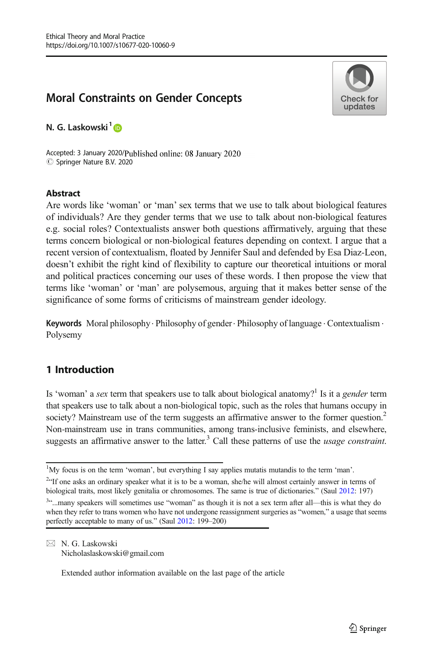# Moral Constraints on Gender Concepts



N. G. Laskowski<sup>1</sup>D

Accepted: 3 January 2020/Published online: 08 January 2020  $\oslash$  Springer Nature B.V. 2020

### **Abstract**

Are words like 'woman' or 'man' sex terms that we use to talk about biological features of individuals? Are they gender terms that we use to talk about non-biological features e.g. social roles? Contextualists answer both questions affirmatively, arguing that these terms concern biological or non-biological features depending on context. I argue that a recent version of contextualism, floated by Jennifer Saul and defended by Esa Diaz-Leon, doesn't exhibit the right kind of flexibility to capture our theoretical intuitions or moral and political practices concerning our uses of these words. I then propose the view that terms like 'woman' or 'man' are polysemous, arguing that it makes better sense of the significance of some forms of criticisms of mainstream gender ideology.

Keywords Moral philosophy. Philosophy of gender. Philosophy of language . Contextualism . Polysemy

# 1 Introduction

Is 'woman' a sex term that speakers use to talk about biological anatomy?<sup>1</sup> Is it a gender term that speakers use to talk about a non-biological topic, such as the roles that humans occupy in society? Mainstream use of the term suggests an affirmative answer to the former question.<sup>2</sup> Non-mainstream use in trans communities, among trans-inclusive feminists, and elsewhere, suggests an affirmative answer to the latter.<sup>3</sup> Call these patterns of use the *usage constraint*.

Extended author information available on the last page of the article

<sup>&</sup>lt;sup>1</sup>My focus is on the term 'woman', but everything I say applies mutatis mutandis to the term 'man'.

<sup>&</sup>lt;sup>2</sup>"If one asks an ordinary speaker what it is to be a woman, she/he will almost certainly answer in terms of biological traits, most likely genitalia or chromosomes. The same is true of dictionaries." (Saul [2012:](#page-11-0) 197)

<sup>&</sup>lt;sup>34</sup>...many speakers will sometimes use "woman" as though it is not a sex term after all—this is what they do when they refer to trans women who have not undergone reassignment surgeries as "women," a usage that seems perfectly acceptable to many of us." (Saul [2012:](#page-11-0) 199–200)

 $\boxtimes$  N. G. Laskowski [Nicholaslaskowski@gmail.com](mailto:Nicholaslaskowski@gmail.com)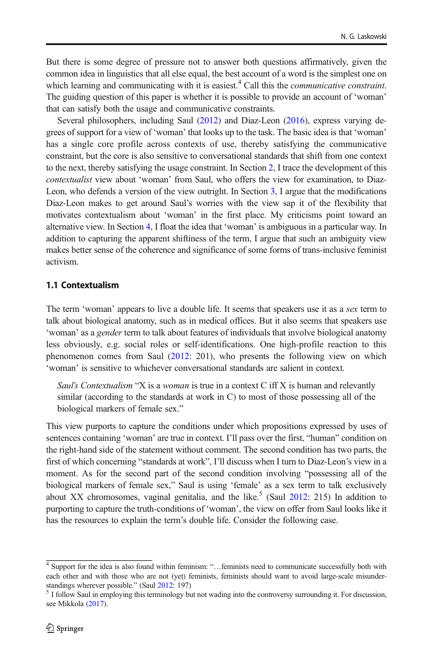But there is some degree of pressure not to answer both questions affirmatively, given the common idea in linguistics that all else equal, the best account of a word is the simplest one on which learning and communicating with it is easiest.<sup>4</sup> Call this the *communicative constraint*. The guiding question of this paper is whether it is possible to provide an account of 'woman' that can satisfy both the usage and communicative constraints.

Several philosophers, including Saul [\(2012](#page-11-0)) and Diaz-Leon ([2016](#page-11-0)), express varying degrees of support for a view of 'woman' that looks up to the task. The basic idea is that 'woman' has a single core profile across contexts of use, thereby satisfying the communicative constraint, but the core is also sensitive to conversational standards that shift from one context to the next, thereby satisfying the usage constraint. In Section 2, I trace the development of this contextualist view about 'woman' from Saul, who offers the view for examination, to Diaz-Leon, who defends a version of the view outright. In Section [3](#page-4-0), I argue that the modifications Diaz-Leon makes to get around Saul's worries with the view sap it of the flexibility that motivates contextualism about 'woman' in the first place. My criticisms point toward an alternative view. In Section [4,](#page-7-0) I float the idea that 'woman' is ambiguous in a particular way. In addition to capturing the apparent shiftiness of the term, I argue that such an ambiguity view makes better sense of the coherence and significance of some forms of trans-inclusive feminist activism.

### 1.1 Contextualism

The term 'woman' appears to live a double life. It seems that speakers use it as a sex term to talk about biological anatomy, such as in medical offices. But it also seems that speakers use 'woman' as a gender term to talk about features of individuals that involve biological anatomy less obviously, e.g. social roles or self-identifications. One high-profile reaction to this phenomenon comes from Saul [\(2012](#page-11-0): 201), who presents the following view on which 'woman' is sensitive to whichever conversational standards are salient in context.

Saul's Contextualism "X is a woman is true in a context  $C$  iff  $X$  is human and relevantly similar (according to the standards at work in C) to most of those possessing all of the biological markers of female sex."

This view purports to capture the conditions under which propositions expressed by uses of sentences containing 'woman' are true in context. I'll pass over the first, "human" condition on the right-hand side of the statement without comment. The second condition has two parts, the first of which concerning "standards at work", I'll discuss when I turn to Diaz-Leon's view in a moment. As for the second part of the second condition involving "possessing all of the biological markers of female sex," Saul is using 'female' as a sex term to talk exclusively about XX chromosomes, vaginal genitalia, and the like.<sup>5</sup> (Saul [2012](#page-11-0): 215) In addition to purporting to capture the truth-conditions of 'woman', the view on offer from Saul looks like it has the resources to explain the term's double life. Consider the following case.

Support for the idea is also found within feminism: "... feminists need to communicate successfully both with each other and with those who are not (yet) feminists, feminists should want to avoid large-scale misunder-standings wherever possible." (Saul [2012:](#page-11-0) 197)<br><sup>5</sup> I follow Saul in employing this terminology but not wading into the controversy surrounding it. For discussion,

see Mikkola ([2017](#page-11-0)).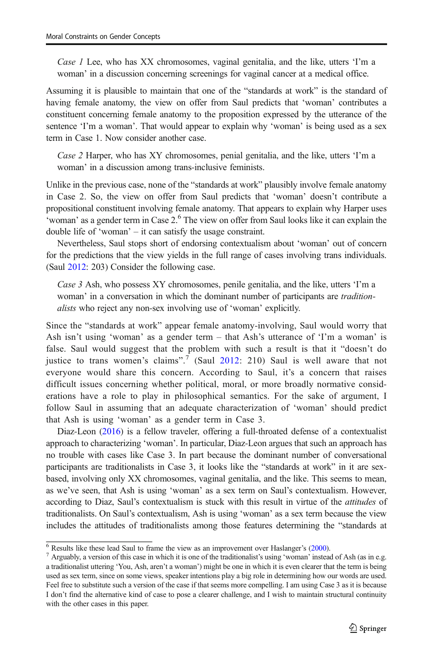Case 1 Lee, who has XX chromosomes, vaginal genitalia, and the like, utters 'I'm a woman' in a discussion concerning screenings for vaginal cancer at a medical office.

Assuming it is plausible to maintain that one of the "standards at work" is the standard of having female anatomy, the view on offer from Saul predicts that 'woman' contributes a constituent concerning female anatomy to the proposition expressed by the utterance of the sentence 'I'm a woman'. That would appear to explain why 'woman' is being used as a sex term in Case 1. Now consider another case.

Case 2 Harper, who has XY chromosomes, penial genitalia, and the like, utters 'I'm a woman' in a discussion among trans-inclusive feminists.

Unlike in the previous case, none of the "standards at work" plausibly involve female anatomy in Case 2. So, the view on offer from Saul predicts that 'woman' doesn't contribute a propositional constituent involving female anatomy. That appears to explain why Harper uses 'woman' as a gender term in Case  $2<sup>6</sup>$  The view on offer from Saul looks like it can explain the double life of 'woman' – it can satisfy the usage constraint.

Nevertheless, Saul stops short of endorsing contextualism about 'woman' out of concern for the predictions that the view yields in the full range of cases involving trans individuals. (Saul [2012](#page-11-0): 203) Consider the following case.

Case 3 Ash, who possess XY chromosomes, penile genitalia, and the like, utters 'I'm a woman' in a conversation in which the dominant number of participants are *tradition*alists who reject any non-sex involving use of 'woman' explicitly.

Since the "standards at work" appear female anatomy-involving, Saul would worry that Ash isn't using 'woman' as a gender term – that Ash's utterance of 'I'm a woman' is false. Saul would suggest that the problem with such a result is that it "doesn't do justice to trans women's claims".<sup>7</sup> (Saul [2012](#page-11-0): 210) Saul is well aware that not everyone would share this concern. According to Saul, it's a concern that raises difficult issues concerning whether political, moral, or more broadly normative considerations have a role to play in philosophical semantics. For the sake of argument, I follow Saul in assuming that an adequate characterization of 'woman' should predict that Ash is using 'woman' as a gender term in Case 3.

Diaz-Leon ([2016](#page-11-0)) is a fellow traveler, offering a full-throated defense of a contextualist approach to characterizing 'woman'. In particular, Diaz-Leon argues that such an approach has no trouble with cases like Case 3. In part because the dominant number of conversational participants are traditionalists in Case 3, it looks like the "standards at work" in it are sexbased, involving only XX chromosomes, vaginal genitalia, and the like. This seems to mean, as we've seen, that Ash is using 'woman' as a sex term on Saul's contextualism. However, according to Diaz, Saul's contextualism is stuck with this result in virtue of the *attitudes* of traditionalists. On Saul's contextualism, Ash is using 'woman' as a sex term because the view includes the attitudes of traditionalists among those features determining the "standards at

<sup>&</sup>lt;sup>6</sup> Results like these lead Saul to frame the view as an improvement over Haslanger's ([2000](#page-11-0)). <sup>7</sup> Arguably, a version of this case in which it is one of the traditionalist's using 'woman' instead of Ash (as in e.g. a traditionalist uttering 'You, Ash, aren't a woman') might be one in which it is even clearer that the term is being used as sex term, since on some views, speaker intentions play a big role in determining how our words are used. Feel free to substitute such a version of the case if that seems more compelling. I am using Case 3 as it is because I don't find the alternative kind of case to pose a clearer challenge, and I wish to maintain structural continuity with the other cases in this paper.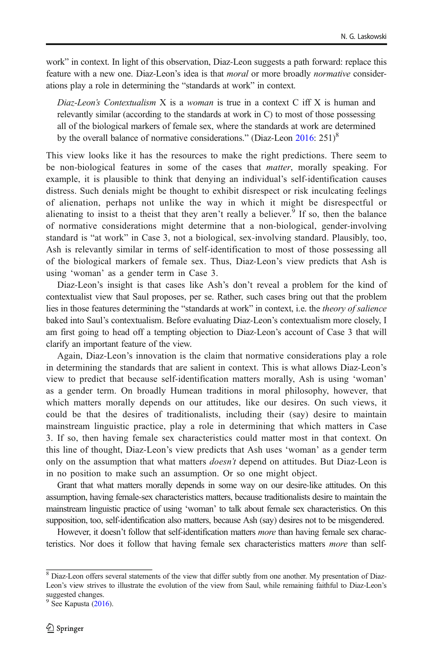work" in context. In light of this observation, Diaz-Leon suggests a path forward: replace this feature with a new one. Diaz-Leon's idea is that moral or more broadly normative considerations play a role in determining the "standards at work" in context.

Diaz-Leon's Contextualism  $X$  is a woman is true in a context  $C$  iff  $X$  is human and relevantly similar (according to the standards at work in C) to most of those possessing all of the biological markers of female sex, where the standards at work are determined by the overall balance of normative considerations." (Diaz-Leon  $2016: 251$  $2016: 251$ )<sup>8</sup>

This view looks like it has the resources to make the right predictions. There seem to be non-biological features in some of the cases that *matter*, morally speaking. For example, it is plausible to think that denying an individual's self-identification causes distress. Such denials might be thought to exhibit disrespect or risk inculcating feelings of alienation, perhaps not unlike the way in which it might be disrespectful or alienating to insist to a theist that they aren't really a believer.<sup>9</sup> If so, then the balance of normative considerations might determine that a non-biological, gender-involving standard is "at work" in Case 3, not a biological, sex-involving standard. Plausibly, too, Ash is relevantly similar in terms of self-identification to most of those possessing all of the biological markers of female sex. Thus, Diaz-Leon's view predicts that Ash is using 'woman' as a gender term in Case 3.

Diaz-Leon's insight is that cases like Ash's don't reveal a problem for the kind of contextualist view that Saul proposes, per se. Rather, such cases bring out that the problem lies in those features determining the "standards at work" in context, i.e. the theory of salience baked into Saul's contextualism. Before evaluating Diaz-Leon's contextualism more closely, I am first going to head off a tempting objection to Diaz-Leon's account of Case 3 that will clarify an important feature of the view.

Again, Diaz-Leon's innovation is the claim that normative considerations play a role in determining the standards that are salient in context. This is what allows Diaz-Leon's view to predict that because self-identification matters morally, Ash is using 'woman' as a gender term. On broadly Humean traditions in moral philosophy, however, that which matters morally depends on our attitudes, like our desires. On such views, it could be that the desires of traditionalists, including their (say) desire to maintain mainstream linguistic practice, play a role in determining that which matters in Case 3. If so, then having female sex characteristics could matter most in that context. On this line of thought, Diaz-Leon's view predicts that Ash uses 'woman' as a gender term only on the assumption that what matters *doesn't* depend on attitudes. But Diaz-Leon is in no position to make such an assumption. Or so one might object.

Grant that what matters morally depends in some way on our desire-like attitudes. On this assumption, having female-sex characteristics matters, because traditionalists desire to maintain the mainstream linguistic practice of using 'woman' to talk about female sex characteristics. On this supposition, too, self-identification also matters, because Ash (say) desires not to be misgendered.

However, it doesn't follow that self-identification matters *more* than having female sex characteristics. Nor does it follow that having female sex characteristics matters more than self-

<sup>&</sup>lt;sup>8</sup> Diaz-Leon offers several statements of the view that differ subtly from one another. My presentation of Diaz-Leon's view strives to illustrate the evolution of the view from Saul, while remaining faithful to Diaz-Leon's suggested changes.

 $<sup>9</sup>$  See Kapusta [\(2016\)](#page-11-0).</sup>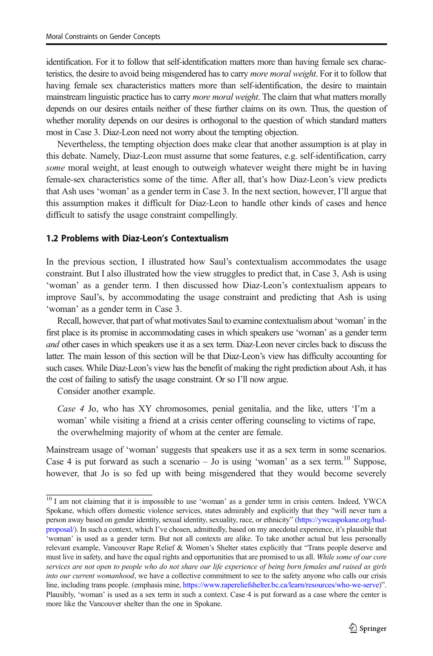<span id="page-4-0"></span>identification. For it to follow that self-identification matters more than having female sex characteristics, the desire to avoid being misgendered has to carry *more moral weight*. For it to follow that having female sex characteristics matters more than self-identification, the desire to maintain mainstream linguistic practice has to carry *more moral weight*. The claim that what matters morally depends on our desires entails neither of these further claims on its own. Thus, the question of whether morality depends on our desires is orthogonal to the question of which standard matters most in Case 3. Diaz-Leon need not worry about the tempting objection.

Nevertheless, the tempting objection does make clear that another assumption is at play in this debate. Namely, Diaz-Leon must assume that some features, e.g. self-identification, carry some moral weight, at least enough to outweigh whatever weight there might be in having female-sex characteristics some of the time. After all, that's how Diaz-Leon's view predicts that Ash uses 'woman' as a gender term in Case 3. In the next section, however, I'll argue that this assumption makes it difficult for Diaz-Leon to handle other kinds of cases and hence difficult to satisfy the usage constraint compellingly.

#### 1.2 Problems with Diaz-Leon's Contextualism

In the previous section, I illustrated how Saul's contextualism accommodates the usage constraint. But I also illustrated how the view struggles to predict that, in Case 3, Ash is using 'woman' as a gender term. I then discussed how Diaz-Leon's contextualism appears to improve Saul's, by accommodating the usage constraint and predicting that Ash is using 'woman' as a gender term in Case 3.

Recall, however, that part of what motivates Saul to examine contextualism about 'woman' in the first place is its promise in accommodating cases in which speakers use 'woman' as a gender term and other cases in which speakers use it as a sex term. Diaz-Leon never circles back to discuss the latter. The main lesson of this section will be that Diaz-Leon's view has difficulty accounting for such cases. While Diaz-Leon's view has the benefit of making the right prediction about Ash, it has the cost of failing to satisfy the usage constraint. Or so I'll now argue.

Consider another example.

Case 4 Jo, who has XY chromosomes, penial genitalia, and the like, utters 'I'm a woman' while visiting a friend at a crisis center offering counseling to victims of rape, the overwhelming majority of whom at the center are female.

Mainstream usage of 'woman' suggests that speakers use it as a sex term in some scenarios. Case 4 is put forward as such a scenario  $-$  Jo is using 'woman' as a sex term.<sup>10</sup> Suppose, however, that Jo is so fed up with being misgendered that they would become severely

 $10$  I am not claiming that it is impossible to use 'woman' as a gender term in crisis centers. Indeed, YWCA Spokane, which offers domestic violence services, states admirably and explicitly that they "will never turn a person away based on gender identity, sexual identity, sexuality, race, or ethnicity" [\(https://ywcaspokane.org/hud](https://ywcaspokane.org/hud-proposal/)[proposal/](https://ywcaspokane.org/hud-proposal/)). In such a context, which I've chosen, admittedly, based on my anecdotal experience, it's plausible that 'woman' is used as a gender term. But not all contexts are alike. To take another actual but less personally relevant example, Vancouver Rape Relief & Women's Shelter states explicitly that "Trans people deserve and must live in safety, and have the equal rights and opportunities that are promised to us all. While some of our core services are not open to people who do not share our life experience of being born females and raised as girls into our current womanhood, we have a collective commitment to see to the safety anyone who calls our crisis line, including trans people. (emphasis mine, [https://www.rapereliefshelter.bc.ca/learn/resources/who-we-serve\)](https://www.rapereliefshelter.bc.ca/learn/resources/who-we-serve)". Plausibly, 'woman' is used as a sex term in such a context. Case 4 is put forward as a case where the center is more like the Vancouver shelter than the one in Spokane.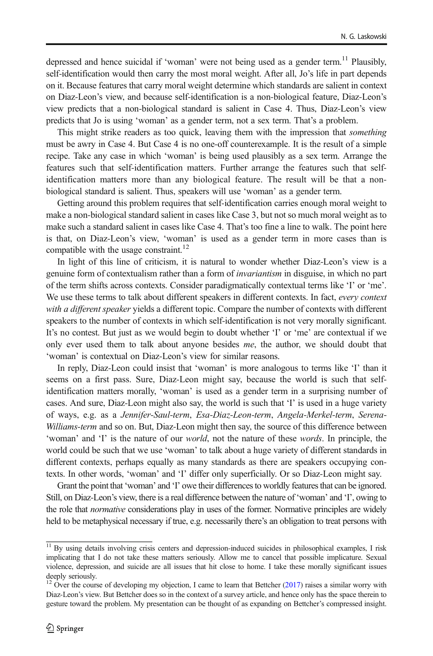depressed and hence suicidal if 'woman' were not being used as a gender term.<sup>11</sup> Plausibly, self-identification would then carry the most moral weight. After all, Jo's life in part depends on it. Because features that carry moral weight determine which standards are salient in context on Diaz-Leon's view, and because self-identification is a non-biological feature, Diaz-Leon's view predicts that a non-biological standard is salient in Case 4. Thus, Diaz-Leon's view predicts that Jo is using 'woman' as a gender term, not a sex term. That's a problem.

This might strike readers as too quick, leaving them with the impression that *something* must be awry in Case 4. But Case 4 is no one-off counterexample. It is the result of a simple recipe. Take any case in which 'woman' is being used plausibly as a sex term. Arrange the features such that self-identification matters. Further arrange the features such that selfidentification matters more than any biological feature. The result will be that a nonbiological standard is salient. Thus, speakers will use 'woman' as a gender term.

Getting around this problem requires that self-identification carries enough moral weight to make a non-biological standard salient in cases like Case 3, but not so much moral weight as to make such a standard salient in cases like Case 4. That's too fine a line to walk. The point here is that, on Diaz-Leon's view, 'woman' is used as a gender term in more cases than is compatible with the usage constraint.<sup>12</sup>

In light of this line of criticism, it is natural to wonder whether Diaz-Leon's view is a genuine form of contextualism rather than a form of invariantism in disguise, in which no part of the term shifts across contexts. Consider paradigmatically contextual terms like 'I' or 'me'. We use these terms to talk about different speakers in different contexts. In fact, every context with a different speaker yields a different topic. Compare the number of contexts with different speakers to the number of contexts in which self-identification is not very morally significant. It's no contest. But just as we would begin to doubt whether 'I' or 'me' are contextual if we only ever used them to talk about anyone besides me, the author, we should doubt that 'woman' is contextual on Diaz-Leon's view for similar reasons.

In reply, Diaz-Leon could insist that 'woman' is more analogous to terms like 'I' than it seems on a first pass. Sure, Diaz-Leon might say, because the world is such that selfidentification matters morally, 'woman' is used as a gender term in a surprising number of cases. And sure, Diaz-Leon might also say, the world is such that 'I' is used in a huge variety of ways, e.g. as a Jennifer-Saul-term, Esa-Diaz-Leon-term, Angela-Merkel-term, Serena-Williams-term and so on. But, Diaz-Leon might then say, the source of this difference between 'woman' and 'I' is the nature of our world, not the nature of these words. In principle, the world could be such that we use 'woman' to talk about a huge variety of different standards in different contexts, perhaps equally as many standards as there are speakers occupying contexts. In other words, 'woman' and 'I' differ only superficially. Or so Diaz-Leon might say.

Grant the point that 'woman' and 'I' owe their differences to worldly features that can be ignored. Still, on Diaz-Leon's view, there is a real difference between the nature of 'woman' and 'I', owing to the role that *normative* considerations play in uses of the former. Normative principles are widely held to be metaphysical necessary if true, e.g. necessarily there's an obligation to treat persons with

<sup>&</sup>lt;sup>11</sup> By using details involving crisis centers and depression-induced suicides in philosophical examples, I risk implicating that I do not take these matters seriously. Allow me to cancel that possible implicature. Sexual violence, depression, and suicide are all issues that hit close to home. I take these morally significant issues deeply seriously.

<sup>&</sup>lt;sup>12</sup> Over the course of developing my objection, I came to learn that Bettcher [\(2017](#page-11-0)) raises a similar worry with Diaz-Leon's view. But Bettcher does so in the context of a survey article, and hence only has the space therein to gesture toward the problem. My presentation can be thought of as expanding on Bettcher's compressed insight.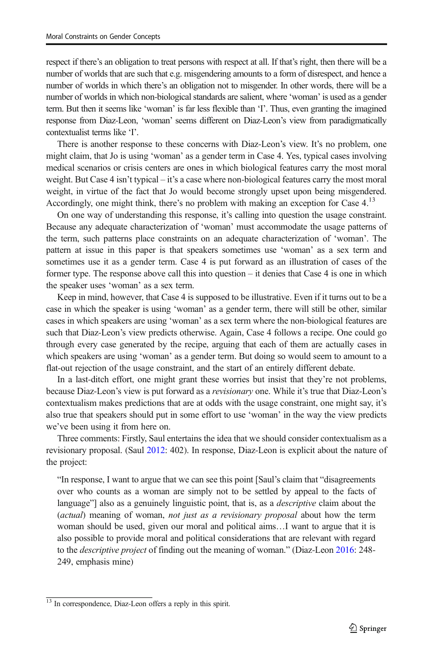respect if there's an obligation to treat persons with respect at all. If that's right, then there will be a number of worlds that are such that e.g. misgendering amounts to a form of disrespect, and hence a number of worlds in which there's an obligation not to misgender. In other words, there will be a number of worlds in which non-biological standards are salient, where 'woman' is used as a gender term. But then it seems like 'woman' is far less flexible than 'I'. Thus, even granting the imagined response from Diaz-Leon, 'woman' seems different on Diaz-Leon's view from paradigmatically contextualist terms like 'I'.

There is another response to these concerns with Diaz-Leon's view. It's no problem, one might claim, that Jo is using 'woman' as a gender term in Case 4. Yes, typical cases involving medical scenarios or crisis centers are ones in which biological features carry the most moral weight. But Case 4 isn't typical – it's a case where non-biological features carry the most moral weight, in virtue of the fact that Jo would become strongly upset upon being misgendered. Accordingly, one might think, there's no problem with making an exception for Case 4.<sup>13</sup>

On one way of understanding this response, it's calling into question the usage constraint. Because any adequate characterization of 'woman' must accommodate the usage patterns of the term, such patterns place constraints on an adequate characterization of 'woman'. The pattern at issue in this paper is that speakers sometimes use 'woman' as a sex term and sometimes use it as a gender term. Case 4 is put forward as an illustration of cases of the former type. The response above call this into question – it denies that Case 4 is one in which the speaker uses 'woman' as a sex term.

Keep in mind, however, that Case 4 is supposed to be illustrative. Even if it turns out to be a case in which the speaker is using 'woman' as a gender term, there will still be other, similar cases in which speakers are using 'woman' as a sex term where the non-biological features are such that Diaz-Leon's view predicts otherwise. Again, Case 4 follows a recipe. One could go through every case generated by the recipe, arguing that each of them are actually cases in which speakers are using 'woman' as a gender term. But doing so would seem to amount to a flat-out rejection of the usage constraint, and the start of an entirely different debate.

In a last-ditch effort, one might grant these worries but insist that they're not problems, because Diaz-Leon's view is put forward as a revisionary one. While it's true that Diaz-Leon's contextualism makes predictions that are at odds with the usage constraint, one might say, it's also true that speakers should put in some effort to use 'woman' in the way the view predicts we've been using it from here on.

Three comments: Firstly, Saul entertains the idea that we should consider contextualism as a revisionary proposal. (Saul [2012](#page-11-0): 402). In response, Diaz-Leon is explicit about the nature of the project:

"In response, I want to argue that we can see this point [Saul's claim that "disagreements over who counts as a woman are simply not to be settled by appeal to the facts of language"] also as a genuinely linguistic point, that is, as a *descriptive* claim about the (actual) meaning of woman, not just as a revisionary proposal about how the term woman should be used, given our moral and political aims…I want to argue that it is also possible to provide moral and political considerations that are relevant with regard to the *descriptive project* of finding out the meaning of woman." (Diaz-Leon [2016:](#page-11-0) 248-249, emphasis mine)

 $\frac{13}{13}$  In correspondence, Diaz-Leon offers a reply in this spirit.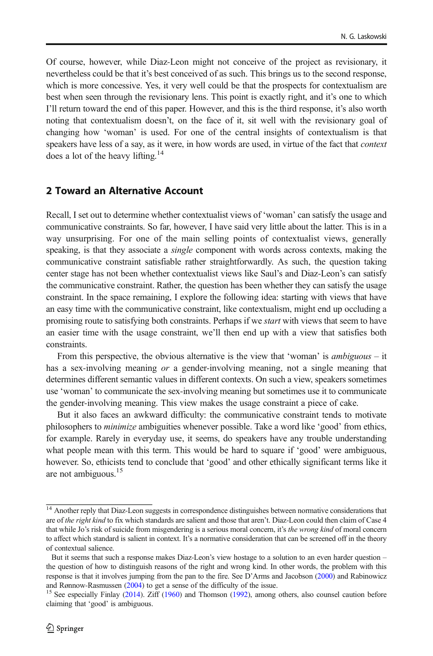<span id="page-7-0"></span>Of course, however, while Diaz-Leon might not conceive of the project as revisionary, it nevertheless could be that it's best conceived of as such. This brings us to the second response, which is more concessive. Yes, it very well could be that the prospects for contextualism are best when seen through the revisionary lens. This point is exactly right, and it's one to which I'll return toward the end of this paper. However, and this is the third response, it's also worth noting that contextualism doesn't, on the face of it, sit well with the revisionary goal of changing how 'woman' is used. For one of the central insights of contextualism is that speakers have less of a say, as it were, in how words are used, in virtue of the fact that *context* does a lot of the heavy lifting.<sup>14</sup>

# 2 Toward an Alternative Account

Recall, I set out to determine whether contextualist views of 'woman' can satisfy the usage and communicative constraints. So far, however, I have said very little about the latter. This is in a way unsurprising. For one of the main selling points of contextualist views, generally speaking, is that they associate a *single* component with words across contexts, making the communicative constraint satisfiable rather straightforwardly. As such, the question taking center stage has not been whether contextualist views like Saul's and Diaz-Leon's can satisfy the communicative constraint. Rather, the question has been whether they can satisfy the usage constraint. In the space remaining, I explore the following idea: starting with views that have an easy time with the communicative constraint, like contextualism, might end up occluding a promising route to satisfying both constraints. Perhaps if we *start* with views that seem to have an easier time with the usage constraint, we'll then end up with a view that satisfies both constraints.

From this perspective, the obvious alternative is the view that 'woman' is *ambiguous –* it has a sex-involving meaning or a gender-involving meaning, not a single meaning that determines different semantic values in different contexts. On such a view, speakers sometimes use 'woman' to communicate the sex-involving meaning but sometimes use it to communicate the gender-involving meaning. This view makes the usage constraint a piece of cake.

But it also faces an awkward difficulty: the communicative constraint tends to motivate philosophers to *minimize* ambiguities whenever possible. Take a word like 'good' from ethics, for example. Rarely in everyday use, it seems, do speakers have any trouble understanding what people mean with this term. This would be hard to square if 'good' were ambiguous, however. So, ethicists tend to conclude that 'good' and other ethically significant terms like it are not ambiguous.<sup>15</sup>

 $\frac{14}{14}$  Another reply that Diaz-Leon suggests in correspondence distinguishes between normative considerations that are of the right kind to fix which standards are salient and those that aren't. Diaz-Leon could then claim of Case 4 that while Jo's risk of suicide from misgendering is a serious moral concern, it's the wrong kind of moral concern to affect which standard is salient in context. It's a normative consideration that can be screened off in the theory of contextual salience.

But it seems that such a response makes Diaz-Leon's view hostage to a solution to an even harder question – the question of how to distinguish reasons of the right and wrong kind. In other words, the problem with this response is that it involves jumping from the pan to the fire. See D'Arms and Jacobson [\(2000\)](#page-11-0) and Rabinowicz and Rønnow-Rasmussen ([2004](#page-11-0)) to get a sense of the difficulty of the issue.<br><sup>15</sup> See especially Finlay [\(2014](#page-11-0)). Ziff ([1960](#page-12-0)) and Thomson [\(1992\)](#page-11-0), among others, also counsel caution before

claiming that 'good' is ambiguous.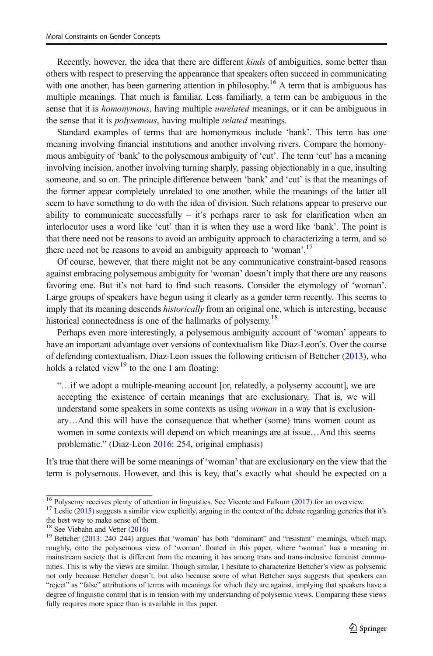Recently, however, the idea that there are different kinds of ambiguities, some better than others with respect to preserving the appearance that speakers often succeed in communicating with one another, has been garnering attention in philosophy.<sup>16</sup> A term that is ambiguous has multiple meanings. That much is familiar. Less familiarly, a term can be ambiguous in the sense that it is homonymous, having multiple unrelated meanings, or it can be ambiguous in the sense that it is *polysemous*, having multiple *related* meanings.

Standard examples of terms that are homonymous include 'bank'. This term has one meaning involving financial institutions and another involving rivers. Compare the homonymous ambiguity of 'bank' to the polysemous ambiguity of 'cut'. The term 'cut' has a meaning involving incision, another involving turning sharply, passing objectionably in a que, insulting someone, and so on. The principle difference between 'bank' and 'cut' is that the meanings of the former appear completely unrelated to one another, while the meanings of the latter all seem to have something to do with the idea of division. Such relations appear to preserve our ability to communicate successfully  $-$  it's perhaps rarer to ask for clarification when an interlocutor uses a word like 'cut' than it is when they use a word like 'bank'. The point is that there need not be reasons to avoid an ambiguity approach to characterizing a term, and so there need not be reasons to avoid an ambiguity approach to 'woman'.<sup>17</sup>

Of course, however, that there might not be any communicative constraint-based reasons against embracing polysemous ambiguity for 'woman' doesn't imply that there are any reasons favoring one. But it's not hard to find such reasons. Consider the etymology of 'woman'. Large groups of speakers have begun using it clearly as a gender term recently. This seems to imply that its meaning descends *historically* from an original one, which is interesting, because historical connectedness is one of the hallmarks of polysemy.<sup>18</sup>

Perhaps even more interestingly, a polysemous ambiguity account of 'woman' appears to have an important advantage over versions of contextualism like Diaz-Leon's. Over the course of defending contextualism, Diaz-Leon issues the following criticism of Bettcher [\(2013\)](#page-11-0), who holds a related view<sup>19</sup> to the one I am floating:

"…if we adopt a multiple-meaning account [or, relatedly, a polysemy account], we are accepting the existence of certain meanings that are exclusionary. That is, we will understand some speakers in some contexts as using *woman* in a way that is exclusionary…And this will have the consequence that whether (some) trans women count as women in some contexts will depend on which meanings are at issue…And this seems problematic." (Diaz-Leon [2016](#page-11-0): 254, original emphasis)

It's true that there will be some meanings of 'woman' that are exclusionary on the view that the term is polysemous. However, and this is key, that's exactly what should be expected on a

 $16$  Polysemy receives plenty of attention in linguistics. See Vicente and Falkum ([2017](#page-12-0)) for an overview. <sup>17</sup> Leslie ([2015](#page-11-0)) suggests a similar view explicitly, arguing in the context of the debate regarding generics that the best way to make sense of them.<br><sup>18</sup> See Viebahn and Vetter  $(2016)$ 

 $19$  Bettcher ([2013](#page-11-0): 240–244) argues that 'woman' has both "dominant" and "resistant" meanings, which map, roughly, onto the polysemous view of 'woman' floated in this paper, where 'woman' has a meaning in mainstream society that is different from the meaning it has among trans and trans-inclusive feminist communities. This is why the views are similar. Though similar, I hesitate to characterize Bettcher's view as polysemic not only because Bettcher doesn't, but also because some of what Bettcher says suggests that speakers can "reject" as "false" attributions of terms with meanings for which they are against, implying that speakers have a degree of linguistic control that is in tension with my understanding of polysemic views. Comparing these views fully requires more space than is available in this paper.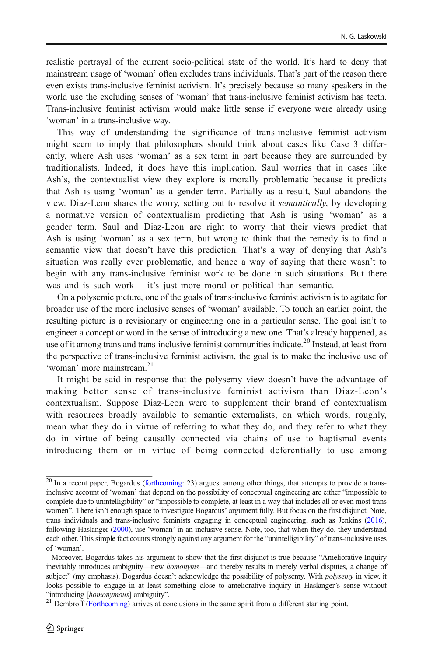realistic portrayal of the current socio-political state of the world. It's hard to deny that mainstream usage of 'woman' often excludes trans individuals. That's part of the reason there even exists trans-inclusive feminist activism. It's precisely because so many speakers in the world use the excluding senses of 'woman' that trans-inclusive feminist activism has teeth. Trans-inclusive feminist activism would make little sense if everyone were already using 'woman' in a trans-inclusive way.

This way of understanding the significance of trans-inclusive feminist activism might seem to imply that philosophers should think about cases like Case 3 differently, where Ash uses 'woman' as a sex term in part because they are surrounded by traditionalists. Indeed, it does have this implication. Saul worries that in cases like Ash's, the contextualist view they explore is morally problematic because it predicts that Ash is using 'woman' as a gender term. Partially as a result, Saul abandons the view. Diaz-Leon shares the worry, setting out to resolve it semantically, by developing a normative version of contextualism predicting that Ash is using 'woman' as a gender term. Saul and Diaz-Leon are right to worry that their views predict that Ash is using 'woman' as a sex term, but wrong to think that the remedy is to find a semantic view that doesn't have this prediction. That's a way of denying that Ash's situation was really ever problematic, and hence a way of saying that there wasn't to begin with any trans-inclusive feminist work to be done in such situations. But there was and is such work – it's just more moral or political than semantic.

On a polysemic picture, one of the goals of trans-inclusive feminist activism is to agitate for broader use of the more inclusive senses of 'woman' available. To touch an earlier point, the resulting picture is a revisionary or engineering one in a particular sense. The goal isn't to engineer a concept or word in the sense of introducing a new one. That's already happened, as use of it among trans and trans-inclusive feminist communities indicate.<sup>20</sup> Instead, at least from the perspective of trans-inclusive feminist activism, the goal is to make the inclusive use of 'woman' more mainstream.<sup>21</sup>

It might be said in response that the polysemy view doesn't have the advantage of making better sense of trans-inclusive feminist activism than Diaz-Leon's contextualism. Suppose Diaz-Leon were to supplement their brand of contextualism with resources broadly available to semantic externalists, on which words, roughly, mean what they do in virtue of referring to what they do, and they refer to what they do in virtue of being causally connected via chains of use to baptismal events introducing them or in virtue of being connected deferentially to use among

 $20$  In a recent paper, Bogardus [\(forthcoming:](#page-11-0) 23) argues, among other things, that attempts to provide a transinclusive account of 'woman' that depend on the possibility of conceptual engineering are either "impossible to complete due to unintelligibility" or "impossible to complete, at least in a way that includes all or even most trans women". There isn't enough space to investigate Bogardus' argument fully. But focus on the first disjunct. Note, trans individuals and trans-inclusive feminists engaging in conceptual engineering, such as Jenkins ([2016](#page-11-0)), following Haslanger ([2000](#page-11-0)), use 'woman' in an inclusive sense. Note, too, that when they do, they understand each other. This simple fact counts strongly against any argument for the "unintelligibility" of trans-inclusive uses of 'woman'.

Moreover, Bogardus takes his argument to show that the first disjunct is true because "Ameliorative Inquiry inevitably introduces ambiguity—new homonyms—and thereby results in merely verbal disputes, a change of subject" (my emphasis). Bogardus doesn't acknowledge the possibility of polysemy. With *polysemy* in view, it looks possible to engage in at least something close to ameliorative inquiry in Haslanger's sense without "introducing [homonymous] ambiguity".<br><sup>21</sup> Dembroff ([Forthcoming](#page-11-0)) arrives at conclusions in the same spirit from a different starting point.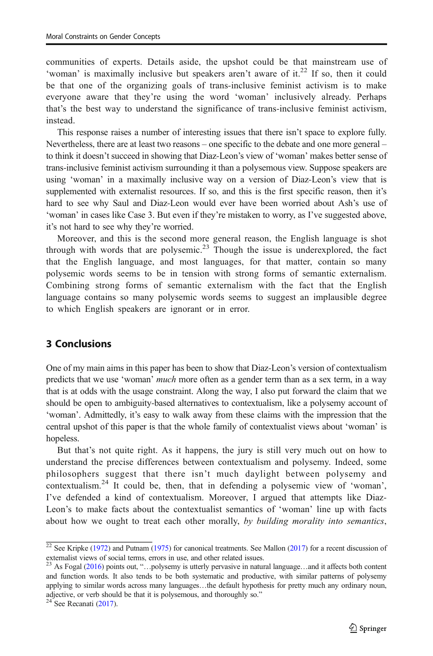communities of experts. Details aside, the upshot could be that mainstream use of 'woman' is maximally inclusive but speakers aren't aware of it.<sup>22</sup> If so, then it could be that one of the organizing goals of trans-inclusive feminist activism is to make everyone aware that they're using the word 'woman' inclusively already. Perhaps that's the best way to understand the significance of trans-inclusive feminist activism, instead.

This response raises a number of interesting issues that there isn't space to explore fully. Nevertheless, there are at least two reasons – one specific to the debate and one more general – to think it doesn't succeed in showing that Diaz-Leon's view of 'woman' makes better sense of trans-inclusive feminist activism surrounding it than a polysemous view. Suppose speakers are using 'woman' in a maximally inclusive way on a version of Diaz-Leon's view that is supplemented with externalist resources. If so, and this is the first specific reason, then it's hard to see why Saul and Diaz-Leon would ever have been worried about Ash's use of 'woman' in cases like Case 3. But even if they're mistaken to worry, as I've suggested above, it's not hard to see why they're worried.

Moreover, and this is the second more general reason, the English language is shot through with words that are polysemic.<sup>23</sup> Though the issue is underexplored, the fact that the English language, and most languages, for that matter, contain so many polysemic words seems to be in tension with strong forms of semantic externalism. Combining strong forms of semantic externalism with the fact that the English language contains so many polysemic words seems to suggest an implausible degree to which English speakers are ignorant or in error.

## 3 Conclusions

One of my main aims in this paper has been to show that Diaz-Leon's version of contextualism predicts that we use 'woman' much more often as a gender term than as a sex term, in a way that is at odds with the usage constraint. Along the way, I also put forward the claim that we should be open to ambiguity-based alternatives to contextualism, like a polysemy account of 'woman'. Admittedly, it's easy to walk away from these claims with the impression that the central upshot of this paper is that the whole family of contextualist views about 'woman' is hopeless.

But that's not quite right. As it happens, the jury is still very much out on how to understand the precise differences between contextualism and polysemy. Indeed, some philosophers suggest that there isn't much daylight between polysemy and contextualism.<sup>24</sup> It could be, then, that in defending a polysemic view of 'woman', I've defended a kind of contextualism. Moreover, I argued that attempts like Diaz-Leon's to make facts about the contextualist semantics of 'woman' line up with facts about how we ought to treat each other morally, by building morality into semantics,

 $22$  See Kripke [\(1972\)](#page-11-0) and Putnam ([1975](#page-11-0)) for canonical treatments. See Mallon [\(2017\)](#page-11-0) for a recent discussion of externalist views of social terms, errors in use, and other related issues.

<sup>&</sup>lt;sup>23</sup> As Fogal ([2016](#page-11-0)) points out, "...polysemy is utterly pervasive in natural language...and it affects both content and function words. It also tends to be both systematic and productive, with similar patterns of polysemy applying to similar words across many languages…the default hypothesis for pretty much any ordinary noun, adjective, or verb should be that it is polysemous, and thoroughly so."  $24$  See Recanati ([2017](#page-11-0)).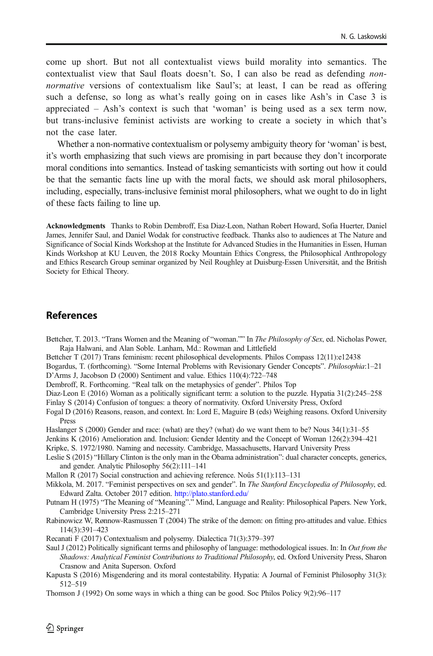<span id="page-11-0"></span>come up short. But not all contextualist views build morality into semantics. The contextualist view that Saul floats doesn't. So, I can also be read as defending *non*normative versions of contextualism like Saul's; at least, I can be read as offering such a defense, so long as what's really going on in cases like Ash's in Case 3 is appreciated – Ash's context is such that 'woman' is being used as a sex term now, but trans-inclusive feminist activists are working to create a society in which that's not the case later.

Whether a non-normative contextualism or polysemy ambiguity theory for 'woman' is best, it's worth emphasizing that such views are promising in part because they don't incorporate moral conditions into semantics. Instead of tasking semanticists with sorting out how it could be that the semantic facts line up with the moral facts, we should ask moral philosophers, including, especially, trans-inclusive feminist moral philosophers, what we ought to do in light of these facts failing to line up.

Acknowledgments Thanks to Robin Dembroff, Esa Diaz-Leon, Nathan Robert Howard, Sofia Huerter, Daniel James, Jennifer Saul, and Daniel Wodak for constructive feedback. Thanks also to audiences at The Nature and Significance of Social Kinds Workshop at the Institute for Advanced Studies in the Humanities in Essen, Human Kinds Workshop at KU Leuven, the 2018 Rocky Mountain Ethics Congress, the Philosophical Anthropology and Ethics Research Group seminar organized by Neil Roughley at Duisburg-Essen Universität, and the British Society for Ethical Theory.

### References

- Bettcher, T. 2013. "Trans Women and the Meaning of "woman."" In *The Philosophy of Sex*, ed. Nicholas Power, Raja Halwani, and Alan Soble. Lanham, Md.: Rowman and Littlefield
- Bettcher T (2017) Trans feminism: recent philosophical developments. Philos Compass 12(11):e12438

Bogardus, T. (forthcoming). "Some Internal Problems with Revisionary Gender Concepts". Philosophia:1–21 D'Arms J, Jacobson D (2000) Sentiment and value. Ethics 110(4):722–748

Dembroff, R. Forthcoming. "Real talk on the metaphysics of gender". Philos Top

Diaz-Leon E (2016) Woman as a politically significant term: a solution to the puzzle. Hypatia 31(2):245–258 Finlay S (2014) Confusion of tongues: a theory of normativity. Oxford University Press, Oxford

Fogal D (2016) Reasons, reason, and context. In: Lord E, Maguire B (eds) Weighing reasons. Oxford University Press

Haslanger S (2000) Gender and race: (what) are they? (what) do we want them to be? Nous 34(1):31–55

Jenkins K (2016) Amelioration and. Inclusion: Gender Identity and the Concept of Woman 126(2):394–421

Kripke, S. 1972/1980. Naming and necessity. Cambridge, Massachusetts, Harvard University Press

Leslie S (2015) "Hillary Clinton is the only man in the Obama administration": dual character concepts, generics, and gender. Analytic Philosophy 56(2):111–141

Mallon R (2017) Social construction and achieving reference. Noûs 51(1):113–131

Mikkola, M. 2017. "Feminist perspectives on sex and gender". In The Stanford Encyclopedia of Philosophy, ed. Edward Zalta. October 2017 edition. <http://plato.stanford.edu/>

Putnam H (1975) "The Meaning of "Meaning"." Mind, Language and Reality: Philosophical Papers. New York, Cambridge University Press 2:215–271

Rabinowicz W, Rønnow-Rasmussen T (2004) The strike of the demon: on fitting pro-attitudes and value. Ethics 114(3):391–423

Recanati F (2017) Contextualism and polysemy. Dialectica 71(3):379–397

Saul J (2012) Politically significant terms and philosophy of language: methodological issues. In: In Out from the Shadows: Analytical Feminist Contributions to Traditional Philosophy, ed. Oxford University Press, Sharon Crasnow and Anita Superson. Oxford

Kapusta S (2016) Misgendering and its moral contestability. Hypatia: A Journal of Feminist Philosophy 31(3): 512–519

Thomson J (1992) On some ways in which a thing can be good. Soc Philos Policy 9(2):96–117